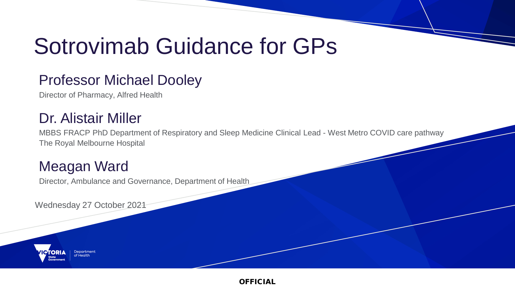# Sotrovimab Guidance for GPs

#### Professor Michael Dooley

Director of Pharmacy, Alfred Health

#### Dr. Alistair Miller

MBBS FRACP PhD Department of Respiratory and Sleep Medicine Clinical Lead - West Metro COVID care pathway The Royal Melbourne Hospital

#### Meagan Ward

Director, Ambulance and Governance, Department of Health

Wednesday 27 October 2021

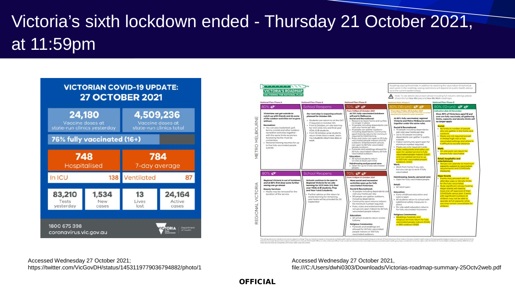## Victoria's sixth lockdown ended - Thursday 21 October 2021, at 11:59pm



|                                                                                                                                                                                                                                                                                                                                                                                                                                   |                                                                                                                                                                                                                                                                                                                                                              |                                                                                                                                                                                                                                                                                                                                                                                                                                                                                                                                                                                                                                                                                                                                                                                                                                          | Note: To see details about each phase including full industry settings please<br>check the full How We Live and How We Work roadmaps.                                                                                                                                                                                                                                                                                                                                                                                                                                                                                                                                                                                                                              |                                                                                                                                                                                                                                                                                                                                                                                                                                                                                                                                                                                                                                                                     |
|-----------------------------------------------------------------------------------------------------------------------------------------------------------------------------------------------------------------------------------------------------------------------------------------------------------------------------------------------------------------------------------------------------------------------------------|--------------------------------------------------------------------------------------------------------------------------------------------------------------------------------------------------------------------------------------------------------------------------------------------------------------------------------------------------------------|------------------------------------------------------------------------------------------------------------------------------------------------------------------------------------------------------------------------------------------------------------------------------------------------------------------------------------------------------------------------------------------------------------------------------------------------------------------------------------------------------------------------------------------------------------------------------------------------------------------------------------------------------------------------------------------------------------------------------------------------------------------------------------------------------------------------------------------|--------------------------------------------------------------------------------------------------------------------------------------------------------------------------------------------------------------------------------------------------------------------------------------------------------------------------------------------------------------------------------------------------------------------------------------------------------------------------------------------------------------------------------------------------------------------------------------------------------------------------------------------------------------------------------------------------------------------------------------------------------------------|---------------------------------------------------------------------------------------------------------------------------------------------------------------------------------------------------------------------------------------------------------------------------------------------------------------------------------------------------------------------------------------------------------------------------------------------------------------------------------------------------------------------------------------------------------------------------------------------------------------------------------------------------------------------|
| <b>National Plan: Phose A</b><br>80% O                                                                                                                                                                                                                                                                                                                                                                                            | National Plan Phase A<br>School Reopens                                                                                                                                                                                                                                                                                                                      | National Plan Phase B<br>70% <b>&amp;P &amp;P</b>                                                                                                                                                                                                                                                                                                                                                                                                                                                                                                                                                                                                                                                                                                                                                                                        | Norticinal Piano Phoses C.<br>0% (16+vrs) &<br><b>ASP</b>                                                                                                                                                                                                                                                                                                                                                                                                                                                                                                                                                                                                                                                                                                          | <b>National Pian: Phose D</b><br>90% (12+yrs) $x^* x^*$                                                                                                                                                                                                                                                                                                                                                                                                                                                                                                                                                                                                             |
| Victorians can get autside to<br>catch-up with friends and do some<br>of the outdoor activities we've gone<br>without.<br><b>Becreation:</b><br>. You can play basketball, golf,<br>tennis, cricket and other outdoor<br>recreation activities trigether -<br>with the same limits as picnics.<br>Accessing facility must be<br>contactious.<br>· Personal training resumes for up<br>to five fully vaccinated people<br>outside. | Our next step is reopening schools -<br>planned for October Sth.<br>. Students con return to sit the GAT<br>if required on October Sth.<br>From 6 October, on-site learning<br>for VCE Units 3/4, and final year.<br>VCAL & IB students.<br>- From 18 October, prep students<br>return three days a week, years<br>1.6.2 students return two doys a<br>week. | From ILSSyon 21 October 2021<br>At 70% fully vaccinated iscidews<br>will end in Melbourne.<br>Social and Recreational:<br>· Reasons to leave home and curfew<br>no longer in place.<br>10 people including depandents can<br>visit your home per day<br>15 people can gather outdoors<br>including dependents. Community<br>sport training returns for minimum<br>required to hold training.<br>Pubs and clubs can goen to 20 fully<br>02 bns zvodení eloped behoriropiv<br>cubicors. Entertainment venues.<br>can open to 50 fully vaccinated<br>people outdoors.<br>Funerals and weddings allowed for<br>20 fully vaccinated indoors, 50 fully<br>vaccinated outdoors<br>Education:<br>· All school students return<br>on-site ot least part time.<br>Hairdressing and personal care:<br>. Open for up to 5 fully vaccinated<br>people | From fam Friday 28 October 2021<br>painted to be resulted on a strater time<br>At 80% fully vaccinated, regional<br>Victoria and Metro Melbourne come<br>together under the same rules.<br><b>Social &amp; Recreational:</b><br>· 10 people including dependents<br>can visit your home per day<br>· Up to 30 people including<br>dependants can gather in public<br>outside<br>· Indoor community sport open for<br>minimum number required.<br>· Masks are only required inside.<br>- Pubs, restourants and cafes can<br>open for seated service to fully<br>Vaccinated people indoors (DQ4)<br>and non-seated service to up.<br>to 500 fully vaccinated people.<br>cubbones, (DQ2).<br>Works<br>- Work from home if you can.<br>but you can go to work if fully | indicative date 24 November<br>Once 90% of Victorians aged 12 and<br>over are fully voccinate, all gathering<br>limits, capacity and density limits will<br>na longer apply<br><b>Social:</b><br>· No limits to number of people<br>who can gather in the home ond<br>contineers.<br>Masks are not required except.<br>in limited high-risk or low.<br>waccimated settings and where is<br>it difficult to sociolly distance<br>avaieko<br>. On-site work can return for.<br>anyone fully vaccinated<br>Retail, bospitality and<br>entertainment<br>· Versues con operate at maximum<br>capacity subject to vaccination.<br>requirements and COVIDSafe<br>measures. |
| <b>BO% &amp;P</b><br>Regional Victoria is out of lockdown.<br>and at 80% first dose some further<br>easing can go ahead.<br><b>Beauty Services:</b><br>. Masks may be removed for the<br>duration of the service.                                                                                                                                                                                                                 | <b>School Reopens</b><br>Schools continue to be open in<br>Regional Victoria for on-site<br>learning for VCE Units 3/4, final<br>year VCAL & IB students, Prep<br>and Year 1 and 2 students.<br>Further advice on the return to<br>onsite learning for remaining<br>year levels will be provided by 30<br>Santambur                                          | 70% <b>&amp;P &amp;P</b><br>From 11.59pm 21 October 2021<br>Mare sacial and recreation<br>activities open up for fully<br>vaccinated Victorians.<br><b>Social &amp; Recreational:</b><br>· 10 people including dependents can<br>visit your home per day.<br>20 people can gather outdoors.<br>including dependents.<br>· Community sport returns indoors<br>for minimum number required.<br>Pubs, clubs and entertainment.<br>venues are open indoors to 30 fully<br>vaccinated people indoors.<br>Education:<br>· All school students return onsite<br><b>Rubbleman</b><br><b>Deligious Ceremonies:</b><br>· Funerals and weddings are<br>allowed for 30 fully vaccinated<br>people indoors or 100 fully<br>vaccinated outdoors.                                                                                                       | vaccinated.<br>Hairdressing, beauty, personal care:<br>· Open for fully voccinated people.<br><b>Retail:</b><br>· All retail open.<br>Education:<br>· Early childhood education and<br>care is npen.<br>· All students return to school with<br>additional safety measures in-<br>ploca.<br>· On-site adult education returns<br>for fully vaccinated Victorians.<br><b>Beligious Ceremonies:</b><br>· Weddings, funerals, and<br>religious services return for fully.<br>vaccinated people indoors (DQ4).<br>or 500 outdoors (DQ2).                                                                                                                                                                                                                               | <b>Mojor Events</b><br>. Events may proceed with no<br>othersfee cops or dernity limits<br>for the fully vaccinated.<br>State significant venues hosting<br>major events will need to<br>sieur la lovanaga ffa-eno evan<br>COVIDSchi venue plan. Events<br>with significant numbers of<br>children may not be able to:<br>operate at full copacity while<br>vaccines nemain unavailable for<br>children.                                                                                                                                                                                                                                                            |

description are souther Board on the autobenine of their point in Group the Chief<br>make the colors that are completible with human rights under the Chiefsen

Accessed Wednesday 27 October 2021; https://twitter.com/VicGovDH/status/1453119779036794882/photo/1

Accessed Wednesday 27 October 2021, file:///C:/Users/dwhi0303/Downloads/Victorias-roadmap-summary-25Octv2web.pdf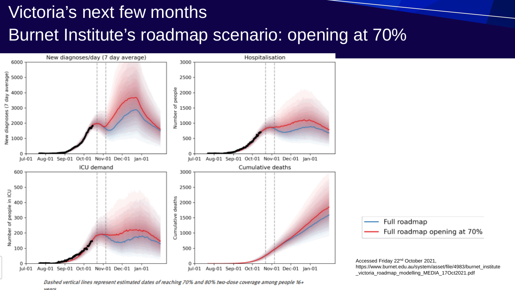## Victoria's next few months Burnet Institute's roadmap scenario: opening at 70%



Dashed vertical lines represent estimated dates of reaching 70% and 80% two-dose coverage among people 16+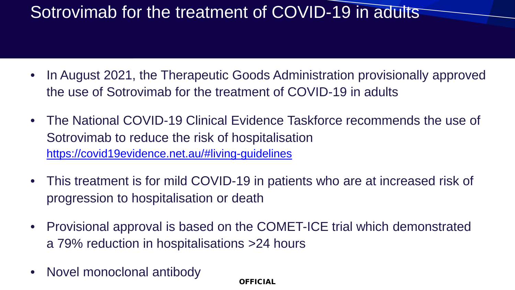- In August 2021, the Therapeutic Goods Administration provisionally approved the use of Sotrovimab for the treatment of COVID-19 in adults
- The National COVID-19 Clinical Evidence Taskforce recommends the use of Sotrovimab to reduce the risk of hospitalisation <https://covid19evidence.net.au/#living-guidelines>
- This treatment is for mild COVID-19 in patients who are at increased risk of progression to hospitalisation or death
- Provisional approval is based on the COMET-ICE trial which demonstrated a 79% reduction in hospitalisations >24 hours
- Novel monoclonal antibody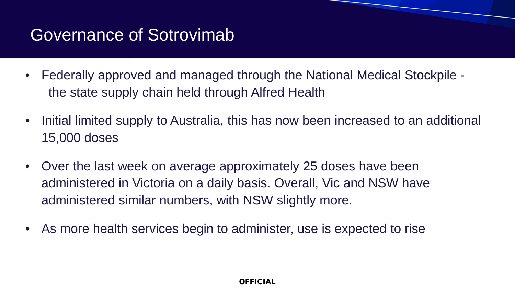#### Governance of Sotrovimab

- Federally approved and managed through the National Medical Stockpile the state supply chain held through Alfred Health
- Initial limited supply to Australia, this has now been increased to an additional 15,000 doses
- Over the last week on average approximately 25 doses have been administered in Victoria on a daily basis. Overall, Vic and NSW have administered similar numbers, with NSW slightly more.
- As more health services begin to administer, use is expected to rise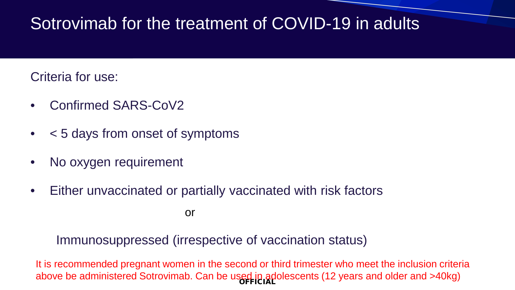Criteria for use:

- Confirmed SARS-CoV2
- < 5 days from onset of symptoms
- No oxygen requirement
- Either unvaccinated or partially vaccinated with risk factors

or

Immunosuppressed (irrespective of vaccination status)

above be administered Sotrovimab. Can be used in adolescents (12 years and older and >40kg) It is recommended pregnant women in the second or third trimester who meet the inclusion criteria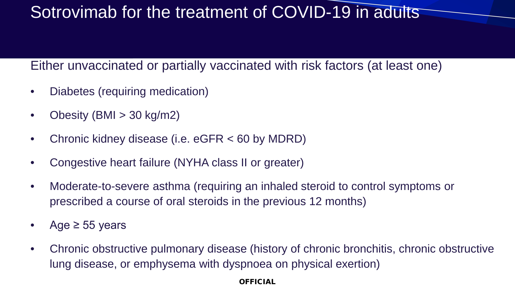#### Either unvaccinated or partially vaccinated with risk factors (at least one)

- Diabetes (requiring medication)
- Obesity (BMI  $>$  30 kg/m2)
- Chronic kidney disease (i.e. eGFR < 60 by MDRD)
- Congestive heart failure (NYHA class II or greater)
- Moderate-to-severe asthma (requiring an inhaled steroid to control symptoms or prescribed a course of oral steroids in the previous 12 months)
- Age ≥ 55 years
- Chronic obstructive pulmonary disease (history of chronic bronchitis, chronic obstructive lung disease, or emphysema with dyspnoea on physical exertion)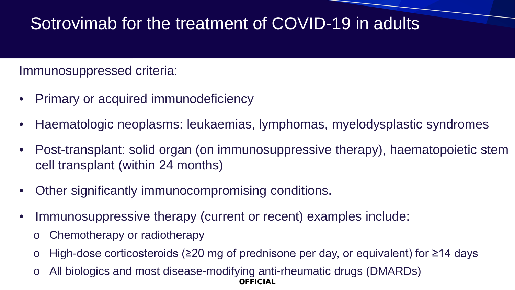#### Immunosuppressed criteria:

- Primary or acquired immunodeficiency
- Haematologic neoplasms: leukaemias, lymphomas, myelodysplastic syndromes
- Post-transplant: solid organ (on immunosuppressive therapy), haematopoietic stem cell transplant (within 24 months)
- Other significantly immunocompromising conditions.
- Immunosuppressive therapy (current or recent) examples include:
	- Chemotherapy or radiotherapy
	- High-dose corticosteroids ( $\geq$ 20 mg of prednisone per day, or equivalent) for  $\geq$ 14 days
	- OFFICIAL All biologics and most disease-modifying anti-rheumatic drugs (DMARDs)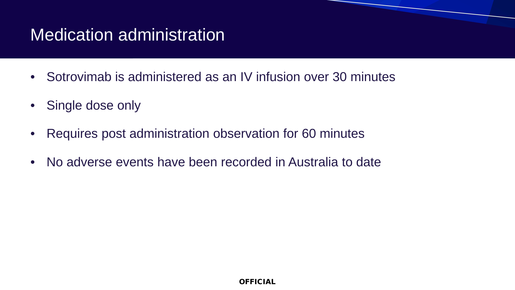### Medication administration

- Sotrovimab is administered as an IV infusion over 30 minutes
- Single dose only
- Requires post administration observation for 60 minutes
- No adverse events have been recorded in Australia to date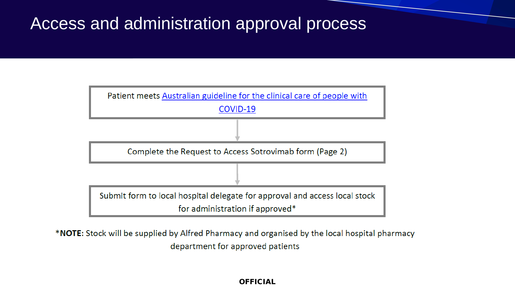#### Access and administration approval process



\*NOTE: Stock will be supplied by Alfred Pharmacy and organised by the local hospital pharmacy department for approved patients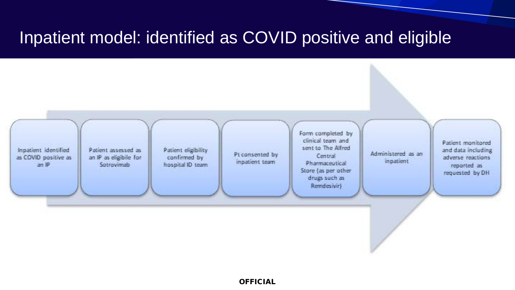#### Inpatient model: identified as COVID positive and eligible

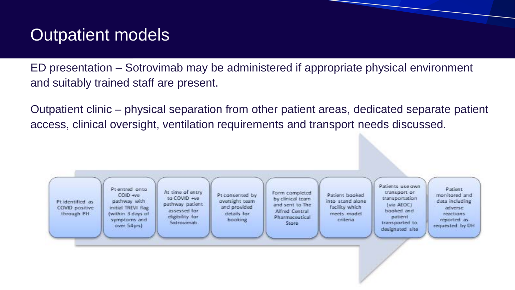### Outpatient models

ED presentation – Sotrovimab may be administered if appropriate physical environment and suitably trained staff are present.

Outpatient clinic – physical separation from other patient areas, dedicated separate patient access, clinical oversight, ventilation requirements and transport needs discussed.

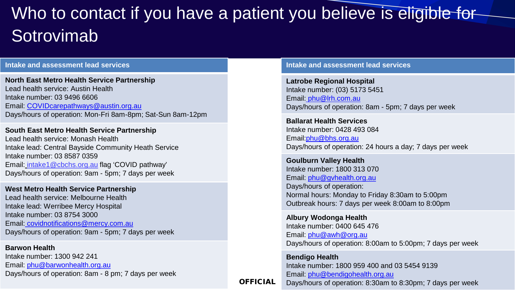## Who to contact if you have a patient you believe is eligible for Sotrovimab

#### **Intake and assessment lead services**

**North East Metro Health Service Partnership** Lead health service: Austin Health Intake number: 03 9496 6606 Email: [COVIDcarepathways@austin.org.au](mailto:COVIDcarepathways@austin.org.au) Days/hours of operation: Mon-Fri 8am-8pm; Sat-Sun 8am-12pm

**South East Metro Health Service Partnership** Lead health service: Monash Health Intake lead: Central Bayside Community Heath Service Intake number: 03 8587 0359 Email: [intake1@cbchs.org.au](mailto:%20intake1@cbchs.org.au) flag 'COVID pathway' Days/hours of operation: 9am - 5pm; 7 days per week

**West Metro Health Service Partnership** Lead health service: Melbourne Health Intake lead: Werribee Mercy Hospital Intake number: 03 8754 3000 Email: [covidnotifications@mercy.com.au](mailto:covidnotifications@mercy.com.au) Days/hours of operation: 9am - 5pm; 7 days per week

**Barwon Health** Intake number: 1300 942 241 Email: [phu@barwonhealth.org.au](mailto:phu@barwonhealth.org.au) Days/hours of operation: 8am - 8 pm; 7 days per week **Intake and assessment lead services**

**Latrobe Regional Hospital** Intake number: (03) 5173 5451 Email: [phu@lrh.com.au](mailto:%20phu@lrh.com.au) Days/hours of operation: 8am - 5pm; 7 days per week

**Ballarat Health Services**  Intake number: 0428 493 084 Email:[phu@bhs.org.au](mailto:phu@bhs.org.au) Days/hours of operation: 24 hours a day; 7 days per week

**Goulburn Valley Health**  Intake number: 1800 313 070 Email: [phu@gvhealth.org.au](mailto:phu@gvhealth.org.au) Days/hours of operation: Normal hours: Monday to Friday 8:30am to 5:00pm Outbreak hours: 7 days per week 8:00am to 8:00pm

**Albury Wodonga Health**  Intake number: 0400 645 476 Email: [phu@awh@org.au](mailto:phu@awh@org.au) Days/hours of operation: 8:00am to 5:00pm; 7 days per week

**Bendigo Health** Intake number: 1800 959 400 and 03 5454 9139 Email: [phu@bendigohealth.org.au](mailto:phu@bendigohealth.org.au) Days/hours of operation: 8:30am to 8:30pm; 7 days per week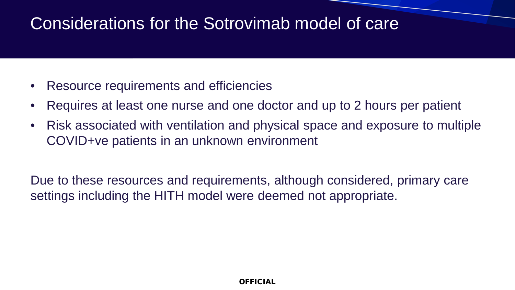#### Considerations for the Sotrovimab model of care

- Resource requirements and efficiencies
- Requires at least one nurse and one doctor and up to 2 hours per patient
- Risk associated with ventilation and physical space and exposure to multiple COVID+ve patients in an unknown environment

Due to these resources and requirements, although considered, primary care settings including the HITH model were deemed not appropriate.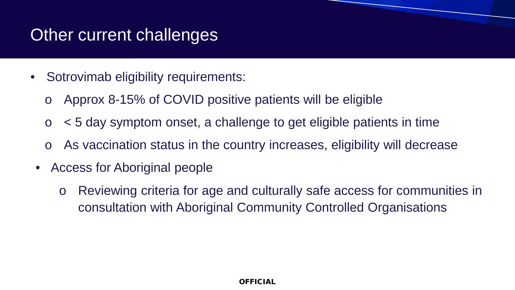#### Other current challenges

- Sotrovimab eligibility requirements:
	- o Approx 8-15% of COVID positive patients will be eligible
	- $\circ$   $\leq$  5 day symptom onset, a challenge to get eligible patients in time
	- o As vaccination status in the country increases, eligibility will decrease
	- Access for Aboriginal people
		- o Reviewing criteria for age and culturally safe access for communities in consultation with Aboriginal Community Controlled Organisations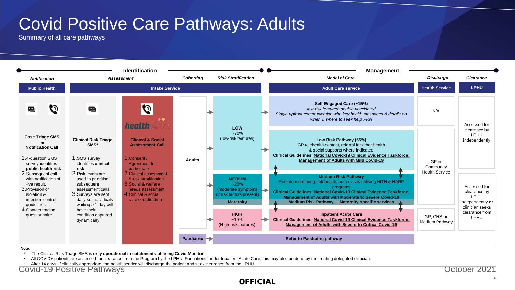#### Covid Positive Care Pathways: Adults

Summary of all care pathways



\* The Clinical Risk Triage SMS is **only operational in catchments utilising Covid Monitor**

- All COVID+ patients are assessed for clearance from the Program by the LPHU. For patients under Inpatient Acute Care, this may also be done by the treating delegated clinician.

- After 14 days, if clinically appropriate, the health service will discharge the patient and seek clearance from the LPHU.

Covid-19 Positive Pathways October 2021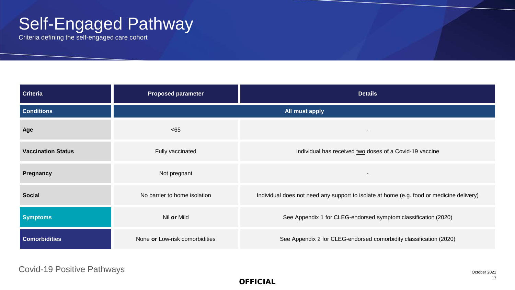### Self-Engaged Pathway

Criteria defining the self-engaged care cohort

| <b>Criteria</b>           | <b>Proposed parameter</b>      | <b>Details</b>                                                                           |  |  |
|---------------------------|--------------------------------|------------------------------------------------------------------------------------------|--|--|
| <b>Conditions</b>         | All must apply                 |                                                                                          |  |  |
| Age                       | <65                            |                                                                                          |  |  |
| <b>Vaccination Status</b> | Fully vaccinated               | Individual has received two doses of a Covid-19 vaccine                                  |  |  |
| Pregnancy                 | Not pregnant                   |                                                                                          |  |  |
| <b>Social</b>             | No barrier to home isolation   | Individual does not need any support to isolate at home (e.g. food or medicine delivery) |  |  |
| <b>Symptoms</b>           | Nil or Mild                    | See Appendix 1 for CLEG-endorsed symptom classification (2020)                           |  |  |
| <b>Comorbidities</b>      | None or Low-risk comorbidities | See Appendix 2 for CLEG-endorsed comorbidity classification (2020)                       |  |  |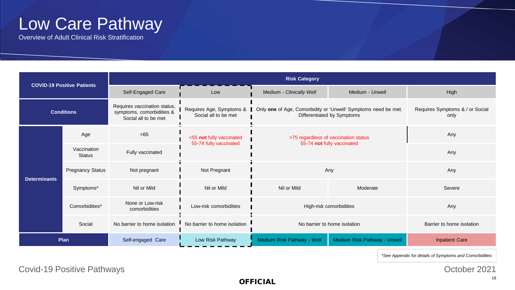#### Low Care Pathway

Overview of Adult Clinical Risk Stratification

| <b>COVID-19 Positive Patients</b> |                              | <b>Risk Category</b>                                                              |                                                    |                                                                                                                         |                              |                                         |  |  |
|-----------------------------------|------------------------------|-----------------------------------------------------------------------------------|----------------------------------------------------|-------------------------------------------------------------------------------------------------------------------------|------------------------------|-----------------------------------------|--|--|
|                                   |                              | Self-Engaged Care                                                                 | Medium - Clinically Well<br>Medium - Unwell<br>Low |                                                                                                                         | High                         |                                         |  |  |
| <b>Conditions</b>                 |                              | Requires vaccination status,<br>symptoms, comorbidities &<br>Social all to be met | Social all to be met                               | Requires Age, Symptoms &   Only one of Age, Comorbidity or 'Unwell' Symptoms need be met.<br>Differentiated by Symptoms |                              | Requires Symptoms & / or Social<br>only |  |  |
| <b>Determinants</b>               | Age                          | <65                                                                               | <55 not fully vaccinated                           | >75 regardless of vaccination status<br>55-74 not fully vaccinated                                                      |                              | Any                                     |  |  |
|                                   | Vaccination<br><b>Status</b> | Fully vaccinated                                                                  | 55-74 fully vaccinated                             |                                                                                                                         |                              | Any                                     |  |  |
|                                   | <b>Pregnancy Status</b>      | Not pregnant                                                                      | Not Pregnant                                       | Any                                                                                                                     |                              | Any                                     |  |  |
|                                   | Symptoms*                    | Nil or Mild                                                                       | Nil or Mild                                        | Nil or Mild                                                                                                             | Moderate                     | Severe                                  |  |  |
|                                   | Comorbidities*               | None or Low-risk<br>comorbidities                                                 | Low-risk comorbidities                             | High-risk comorbidities                                                                                                 |                              | Any                                     |  |  |
|                                   | Social                       | No barrier to home isolation                                                      | No barrier to home isolation                       | No barrier to home isolation                                                                                            |                              | Barrier to home isolation               |  |  |
| Plan                              |                              | Self-engaged Care                                                                 | Low Risk Pathway                                   | Medium Risk Pathway - Well                                                                                              | Medium Risk Pathway - Unwell | <b>Inpatient Care</b>                   |  |  |

*\*See Appendix for details of Symptoms and Comorbidities* 

Covid-19 Positive Pathways **Covid-19 Positive Pathways Covid-19 Positive Pathways Covid-19 Positive Pathways**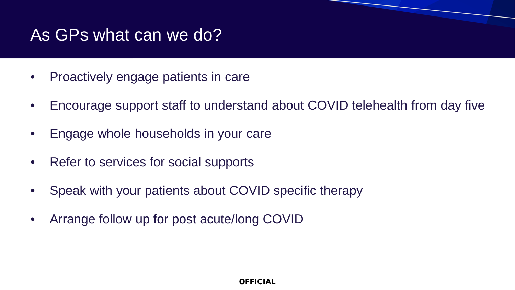#### As GPs what can we do?

- Proactively engage patients in care
- Encourage support staff to understand about COVID telehealth from day five
- Engage whole households in your care
- Refer to services for social supports
- Speak with your patients about COVID specific therapy
- Arrange follow up for post acute/long COVID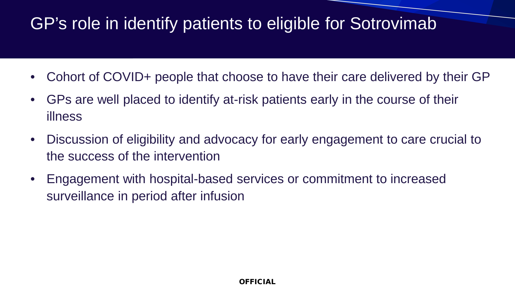#### GP's role in identify patients to eligible for Sotrovimab

- Cohort of COVID+ people that choose to have their care delivered by their GP
- GPs are well placed to identify at-risk patients early in the course of their illness
- Discussion of eligibility and advocacy for early engagement to care crucial to the success of the intervention
- Engagement with hospital-based services or commitment to increased surveillance in period after infusion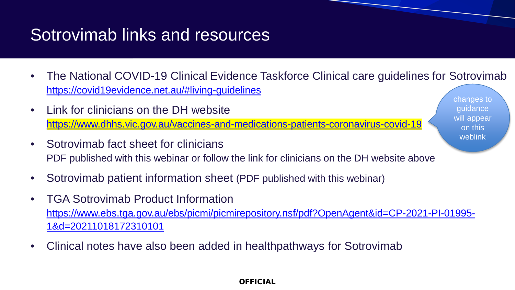#### Sotrovimab links and resources

- The National COVID-19 Clinical Evidence Taskforce Clinical care guidelines for Sotrovimab <https://covid19evidence.net.au/#living-guidelines>
- Link for clinicians on the DH website <https://www.dhhs.vic.gov.au/vaccines-and-medications-patients-coronavirus-covid-19>
- Sotrovimab fact sheet for clinicians PDF published with this webinar or follow the link for clinicians on the DH website above
- Sotrovimab patient information sheet (PDF published with this webinar)
- TGA Sotrovimab Product Information [https://www.ebs.tga.gov.au/ebs/picmi/picmirepository.nsf/pdf?OpenAgent&id=CP-2021-PI-01995-](https://www.ebs.tga.gov.au/ebs/picmi/picmirepository.nsf/pdf?OpenAgent&id=CP-2021-PI-01995-1&d=20211018172310101) 1&d=20211018172310101
- Clinical notes have also been added in healthpathways for Sotrovimab

changes to guidance will appear on this weblink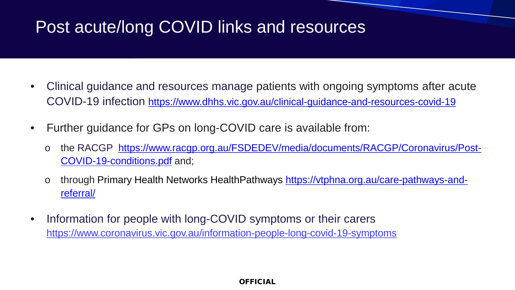#### Post acute/long COVID links and resources

- Clinical guidance and resources manage patients with ongoing symptoms after acute COVID-19 infection<https://www.dhhs.vic.gov.au/clinical-guidance-and-resources-covid-19>
- Further guidance for GPs on long-COVID care is available from:
	- o the RACGP [https://www.racgp.org.au/FSDEDEV/media/documents/RACGP/Coronavirus/Post-](https://www.racgp.org.au/FSDEDEV/media/documents/RACGP/Coronavirus/Post-COVID-19-conditions.pdf)COVID-19-conditions.pdf and;
	- o through [Primary Health Networks HealthPathways https://vtphna.org.au/care-pathways-and](https://vtphna.org.au/care-pathways-and-referral/)referral/
- Information for people with long-COVID symptoms or their carers https://www.coronavirus.vic.gov.au/information-people-long-covid-19-symptoms